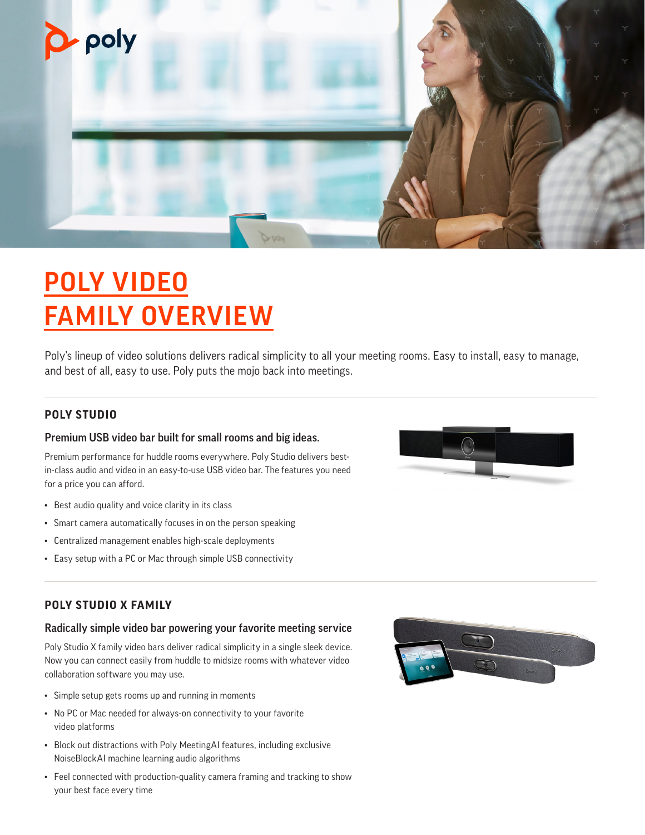

# POLY VIDEO FAMILY OVERVIEW

Poly's lineup of video solutions delivers radical simplicity to all your meeting rooms. Easy to install, easy to manage, and best of all, easy to use. Poly puts the mojo back into meetings.

## **POLY STUDIO**

### Premium USB video bar built for small rooms and big ideas.

Premium performance for huddle rooms everywhere. Poly Studio delivers bestin-class audio and video in an easy-to-use USB video bar. The features you need for a price you can afford.

- Best audio quality and voice clarity in its class
- Smart camera automatically focuses in on the person speaking
- Centralized management enables high-scale deployments
- Easy setup with a PC or Mac through simple USB connectivity



## **POLY STUDIO X FAMILY**

#### Radically simple video bar powering your favorite meeting service

Poly Studio X family video bars deliver radical simplicity in a single sleek device. Now you can connect easily from huddle to midsize rooms with whatever video collaboration software you may use.

- Simple setup gets rooms up and running in moments
- No PC or Mac needed for always-on connectivity to your favorite video platforms
- Block out distractions with Poly MeetingAI features, including exclusive NoiseBlockAI machine learning audio algorithms
- Feel connected with production-quality camera framing and tracking to show your best face every time

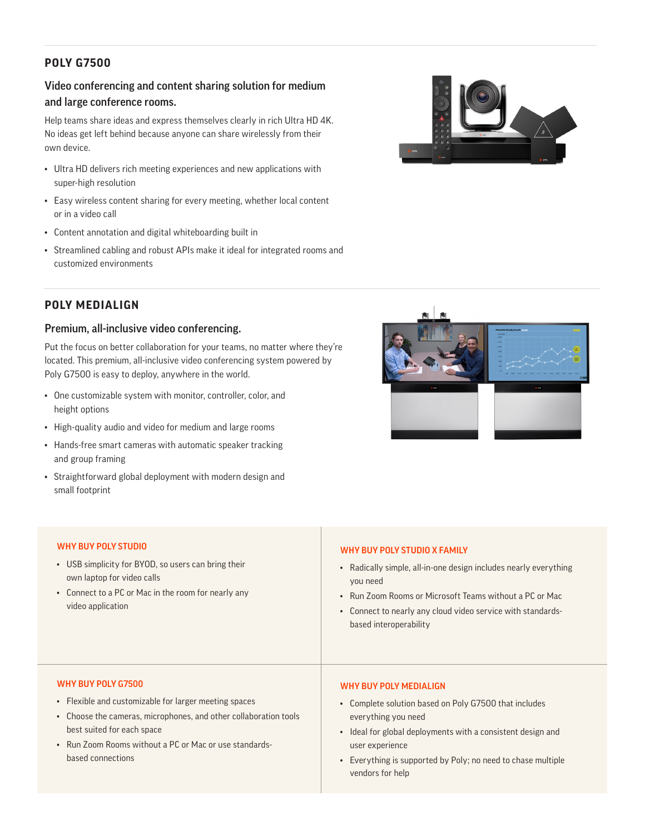## **POLY G7500**

## Video conferencing and content sharing solution for medium and large conference rooms.

Help teams share ideas and express themselves clearly in rich Ultra HD 4K. No ideas get left behind because anyone can share wirelessly from their own device.

- Ultra HD delivers rich meeting experiences and new applications with super-high resolution
- Easy wireless content sharing for every meeting, whether local content or in a video call
- Content annotation and digital whiteboarding built in
- Streamlined cabling and robust APIs make it ideal for integrated rooms and customized environments



## **POLY MEDIALIGN**

#### Premium, all-inclusive video conferencing.

Put the focus on better collaboration for your teams, no matter where they're located. This premium, all-inclusive video conferencing system powered by Poly G7500 is easy to deploy, anywhere in the world.

- One customizable system with monitor, controller, color, and height options
- High-quality audio and video for medium and large rooms
- Hands-free smart cameras with automatic speaker tracking and group framing
- Straightforward global deployment with modern design and small footprint



| WHY BUY POLY STUDIO<br>• USB simplicity for BYOD, so users can bring their<br>own laptop for video calls<br>• Connect to a PC or Mac in the room for nearly any<br>video application | WHY BUY POLY STUDIO X FAMILY<br>• Radically simple, all-in-one design includes nearly everything<br>you need<br>• Run Zoom Rooms or Microsoft Teams without a PC or Mac<br>• Connect to nearly any cloud video service with standards-<br>based interoperability |
|--------------------------------------------------------------------------------------------------------------------------------------------------------------------------------------|------------------------------------------------------------------------------------------------------------------------------------------------------------------------------------------------------------------------------------------------------------------|
| WHY BUY POLY G7500                                                                                                                                                                   | <b>WHY BUY POLY MEDIALIGN</b>                                                                                                                                                                                                                                    |
| • Flexible and customizable for larger meeting spaces                                                                                                                                | • Complete solution based on Poly G7500 that includes                                                                                                                                                                                                            |
| • Choose the cameras, microphones, and other collaboration tools                                                                                                                     | everything you need                                                                                                                                                                                                                                              |
| best suited for each space                                                                                                                                                           | • Ideal for global deployments with a consistent design and                                                                                                                                                                                                      |
| • Run Zoom Rooms without a PC or Mac or use standards-                                                                                                                               | user experience                                                                                                                                                                                                                                                  |
| based connections                                                                                                                                                                    | • Everything is supported by Poly; no need to chase multiple                                                                                                                                                                                                     |

vendors for help